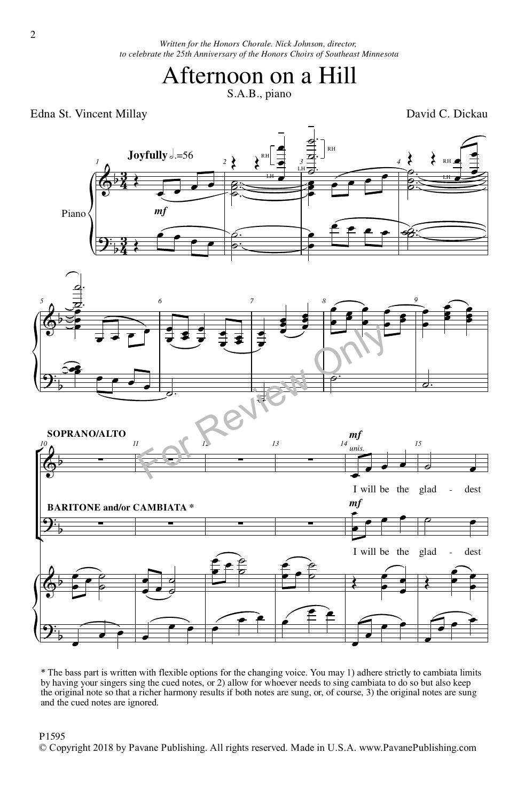*Written for the Honors Chorale. Nick Johnson, director, to celebrate the 25th Anniversary of the Honors Choirs of Southeast Minnesota*

## Afternoon on a Hill

S.A.B., piano

Edna St. Vincent Millay David C. Dickau



\* The bass part is written with flexible options for the changing voice. You may 1) adhere strictly to cambiata limits by having your singers sing the cued notes, or 2) allow for whoever needs to sing cambiata to do so but also keep the original note so that a richer harmony results if both notes are sung, or, of course, 3) the original notes are sung and the cued notes are ignored.

## P1595

© Copyright 2018 by Pavane Publishing. All rights reserved. Made in U.S.A. www.PavanePublishing.com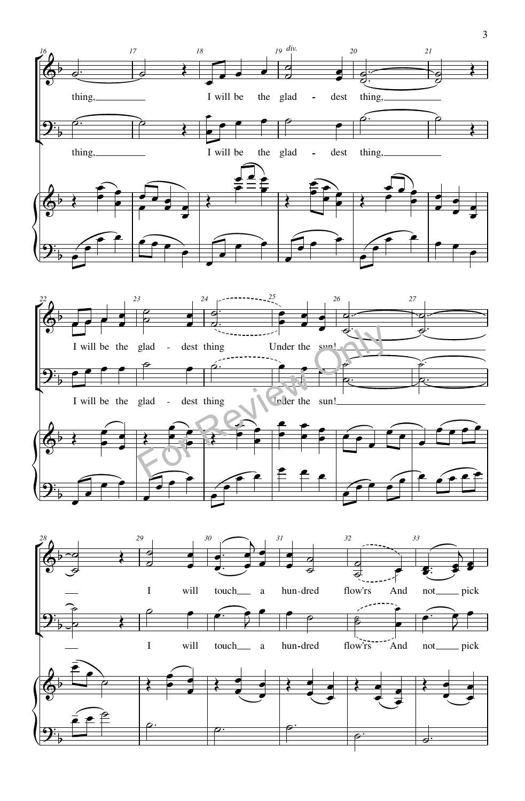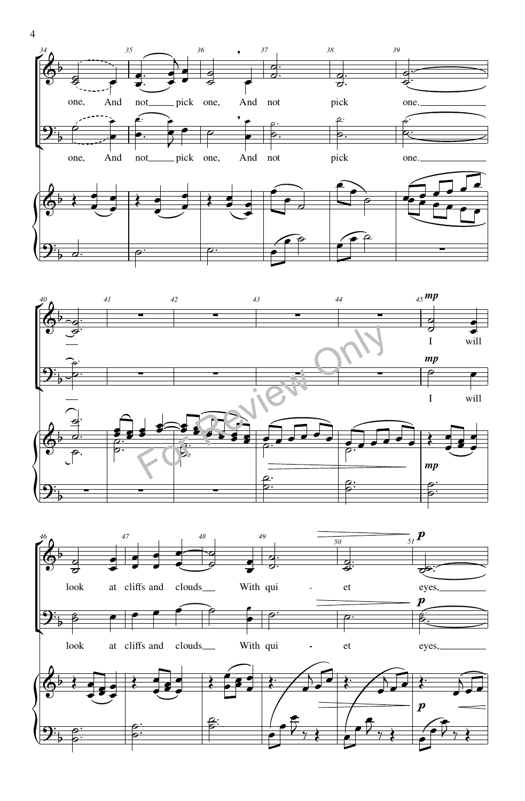



look at cliffs and clouds With qui - et eyes,  $\boldsymbol{p}$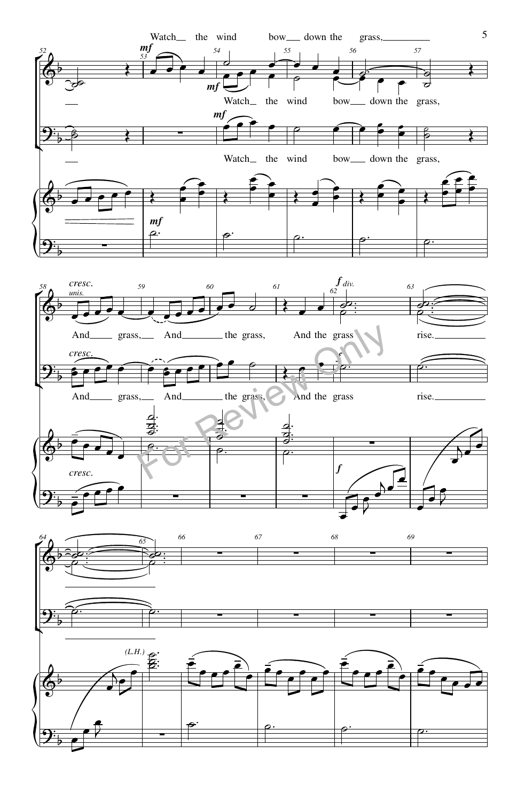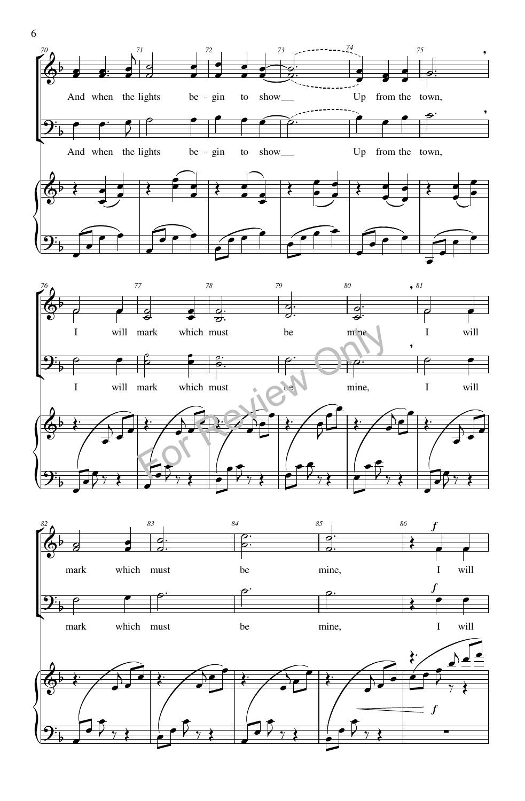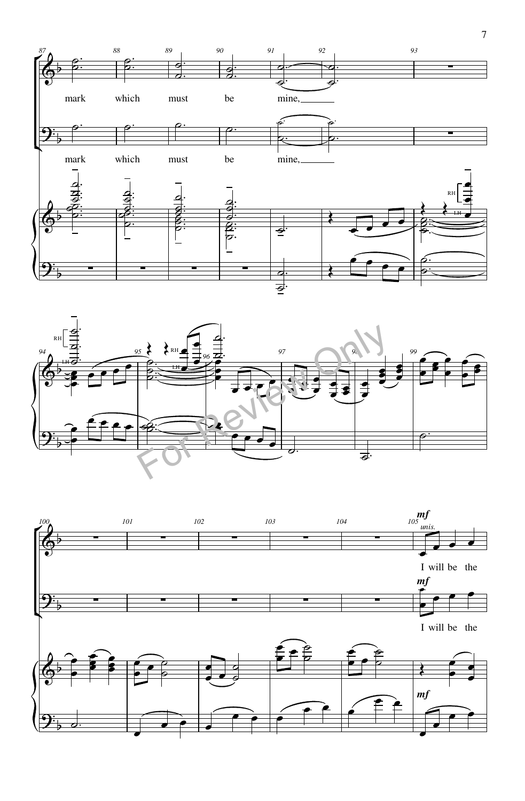



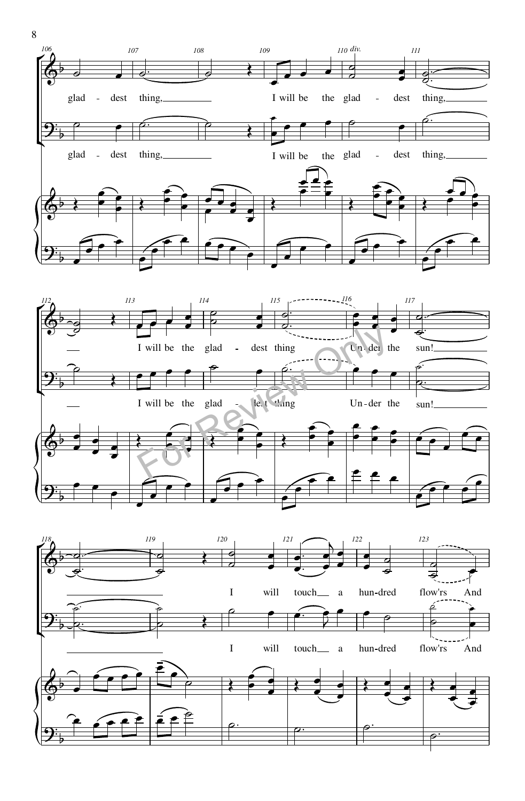

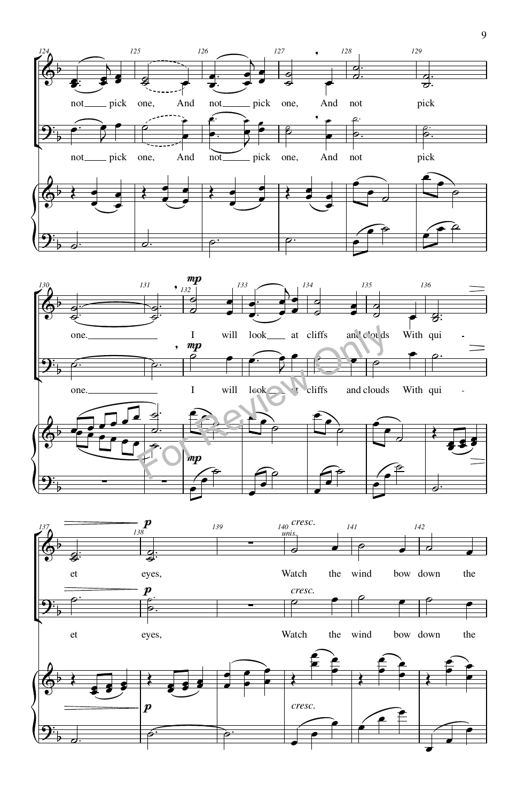



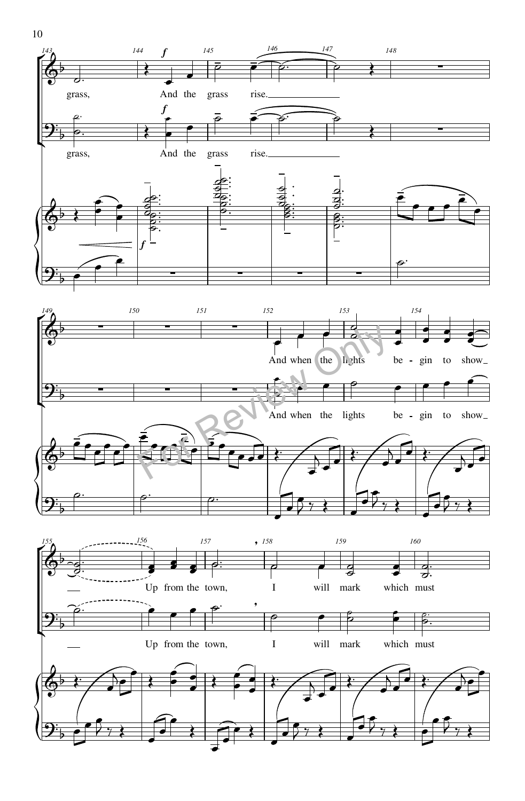



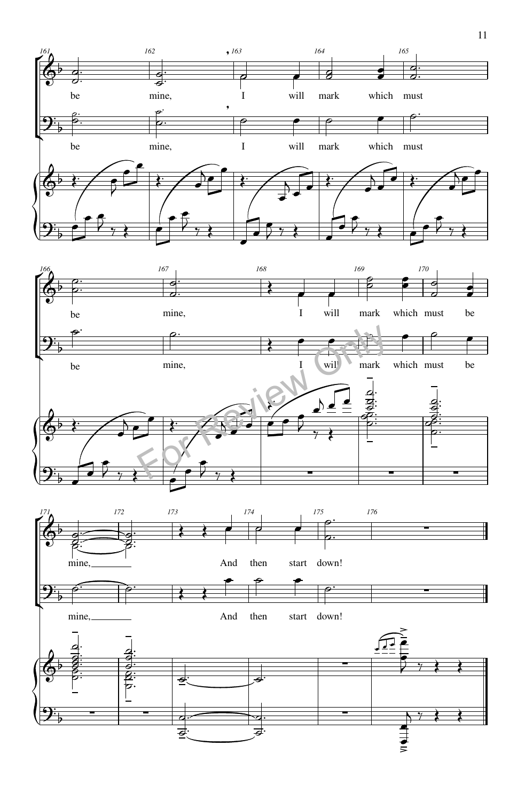